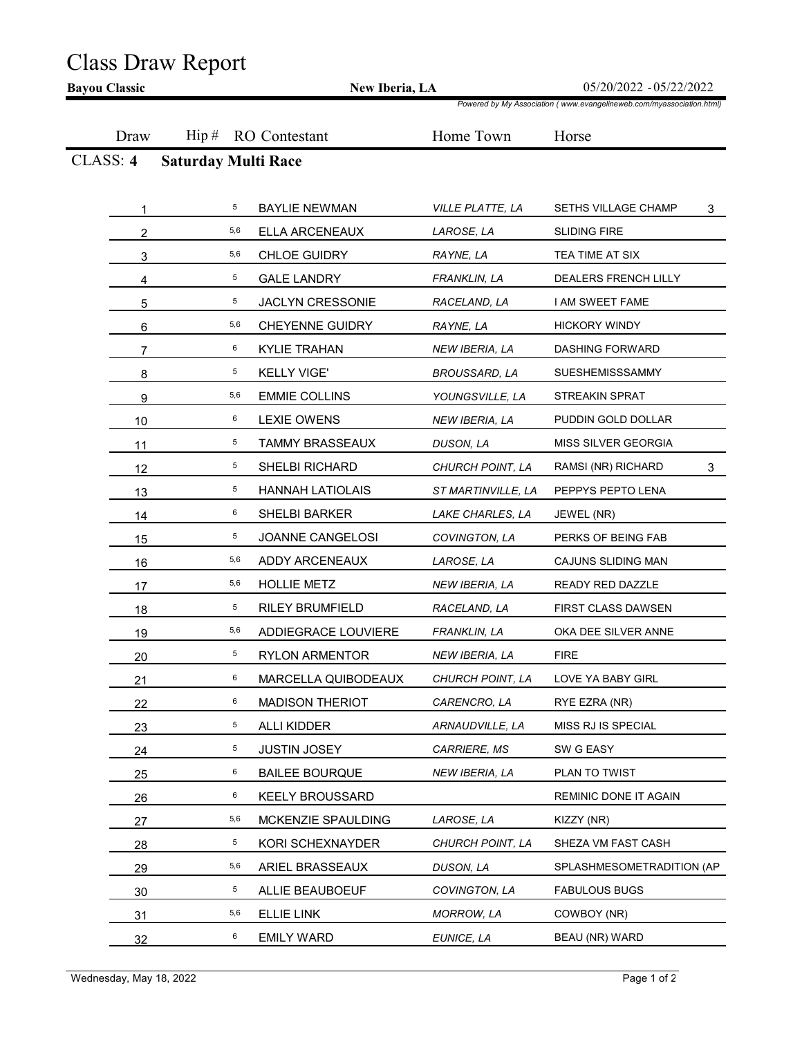## Class Draw Report

|          | New Iberia, LA             |                                   |                                   | 05/20/2022 - 05/22/2022<br>Powered by My Association (www.evangelineweb.com/myassociation.html) |  |
|----------|----------------------------|-----------------------------------|-----------------------------------|-------------------------------------------------------------------------------------------------|--|
| Draw     | $\operatorname{Hip}$ #     | <b>RO</b> Contestant              | Home Town                         | Horse                                                                                           |  |
| CLASS: 4 | <b>Saturday Multi Race</b> |                                   |                                   |                                                                                                 |  |
|          |                            |                                   |                                   |                                                                                                 |  |
|          | 5                          | <b>BAYLIE NEWMAN</b>              | VILLE PLATTE, LA                  | SETHS VILLAGE CHAMP<br>3                                                                        |  |
| 2        | 5,6                        | ELLA ARCENEAUX                    | LAROSE, LA                        | <b>SLIDING FIRE</b>                                                                             |  |
| 3        | 5,6                        | CHLOE GUIDRY                      | RAYNE, LA                         | TEA TIME AT SIX                                                                                 |  |
| 4        | 5                          | <b>GALE LANDRY</b>                | FRANKLIN, LA                      | DEALERS FRENCH LILLY                                                                            |  |
| 5        | 5                          | JACLYN CRESSONIE                  | RACELAND, LA                      | I AM SWEET FAME                                                                                 |  |
| 6        | 5,6                        | <b>CHEYENNE GUIDRY</b>            | RAYNE, LA                         | <b>HICKORY WINDY</b>                                                                            |  |
| 7        | 6                          | <b>KYLIE TRAHAN</b>               | NEW IBERIA, LA                    | <b>DASHING FORWARD</b>                                                                          |  |
| 8        | 5                          | <b>KELLY VIGE'</b>                | <b>BROUSSARD, LA</b>              | SUESHEMISSSAMMY                                                                                 |  |
| 9        | 5,6                        | <b>EMMIE COLLINS</b>              | YOUNGSVILLE, LA                   | STREAKIN SPRAT                                                                                  |  |
| 10       | 6<br>$\overline{5}$        | <b>LEXIE OWENS</b>                | NEW IBERIA, LA                    | PUDDIN GOLD DOLLAR                                                                              |  |
| 11       | 5                          | TAMMY BRASSEAUX<br>SHELBI RICHARD | DUSON, LA<br>CHURCH POINT, LA     | MISS SILVER GEORGIA                                                                             |  |
| 12       | 5                          |                                   |                                   | RAMSI (NR) RICHARD<br>3                                                                         |  |
| 13       | 6                          | HANNAH LATIOLAIS<br>SHELBI BARKER | ST MARTINVILLE, LA                | PEPPYS PEPTO LENA                                                                               |  |
| 14       | 5                          | JOANNE CANGELOSI                  | LAKE CHARLES, LA<br>COVINGTON, LA | JEWEL (NR)<br>PERKS OF BEING FAB                                                                |  |
| 15       | 5,6                        | ADDY ARCENEAUX                    | LAROSE, LA                        | CAJUNS SLIDING MAN                                                                              |  |
| 16       | 5,6                        | <b>HOLLIE METZ</b>                | NEW IBERIA, LA                    | READY RED DAZZLE                                                                                |  |
| 17       | 5                          | RILEY BRUMFIELD                   | RACELAND, LA                      | FIRST CLASS DAWSEN                                                                              |  |
| 18       | 5,6                        | ADDIEGRACE LOUVIERE               | FRANKLIN, LA                      | OKA DEE SILVER ANNE                                                                             |  |
| 19<br>20 | 5                          | RYLON ARMENTOR                    | NEW IBERIA, LA                    | <b>FIRE</b>                                                                                     |  |
| 21       | 6                          | MARCELLA QUIBODEAUX               | CHURCH POINT, LA                  | LOVE YA BABY GIRL                                                                               |  |
| 22       | 6                          | <b>MADISON THERIOT</b>            | CARENCRO, LA                      | RYE EZRA (NR)                                                                                   |  |
| 23       | 5                          | ALLI KIDDER                       | ARNAUDVILLE, LA                   | MISS RJ IS SPECIAL                                                                              |  |
| 24       | 5                          | <b>JUSTIN JOSEY</b>               | CARRIERE, MS                      | SW G EASY                                                                                       |  |
| 25       | 6                          | <b>BAILEE BOURQUE</b>             | NEW IBERIA, LA                    | PLAN TO TWIST                                                                                   |  |
| 26       | 6                          | <b>KEELY BROUSSARD</b>            |                                   | REMINIC DONE IT AGAIN                                                                           |  |
| 27       | 5,6                        | MCKENZIE SPAULDING                | LAROSE, LA                        | KIZZY (NR)                                                                                      |  |
| 28       | 5                          | KORI SCHEXNAYDER                  | CHURCH POINT, LA                  | SHEZA VM FAST CASH                                                                              |  |
| 29       | 5,6                        | ARIEL BRASSEAUX                   | DUSON, LA                         | SPLASHMESOMETRADITION (AP                                                                       |  |
| 30       | 5                          | ALLIE BEAUBOEUF                   | COVINGTON, LA                     | <b>FABULOUS BUGS</b>                                                                            |  |
| 31       | 5,6                        | <b>ELLIE LINK</b>                 | <b>MORROW, LA</b>                 | COWBOY (NR)                                                                                     |  |
| 32       | 6                          | <b>EMILY WARD</b>                 | EUNICE, LA                        | BEAU (NR) WARD                                                                                  |  |
|          |                            |                                   |                                   |                                                                                                 |  |